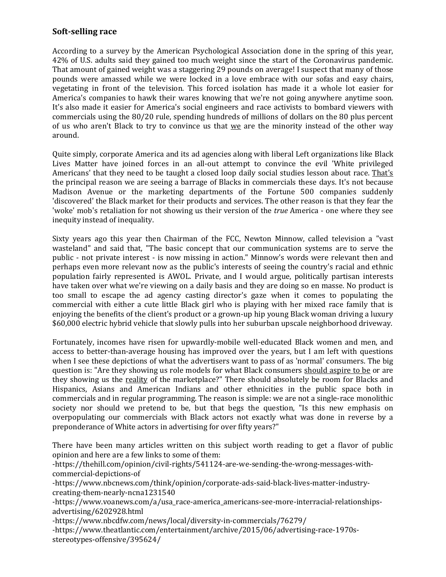## **Soft-selling race**

According to a survey by the American Psychological Association done in the spring of this year, 42% of U.S. adults said they gained too much weight since the start of the Coronavirus pandemic. That amount of gained weight was a staggering 29 pounds on average! I suspect that many of those pounds were amassed while we were locked in a love embrace with our sofas and easy chairs, vegetating in front of the television. This forced isolation has made it a whole lot easier for America's companies to hawk their wares knowing that we're not going anywhere anytime soon. It's also made it easier for America's social engineers and race activists to bombard viewers with commercials using the 80/20 rule, spending hundreds of millions of dollars on the 80 plus percent of us who aren't Black to try to convince us that we are the minority instead of the other way around.

Quite simply, corporate America and its ad agencies along with liberal Left organizations like Black Lives Matter have joined forces in an all-out attempt to convince the evil 'White privileged Americans' that they need to be taught a closed loop daily social studies lesson about race. That's the principal reason we are seeing a barrage of Blacks in commercials these days. It's not because Madison Avenue or the marketing departments of the Fortune 500 companies suddenly 'discovered' the Black market for their products and services. The other reason is that they fear the 'woke' mob's retaliation for not showing us their version of the *true* America - one where they see inequity instead of inequality.

Sixty years ago this year then Chairman of the FCC, Newton Minnow, called television a "vast wasteland" and said that, "The basic concept that our communication systems are to serve the public - not private interest - is now missing in action." Minnow's words were relevant then and perhaps even more relevant now as the public's interests of seeing the country's racial and ethnic population fairly represented is AWOL. Private, and I would argue, politically partisan interests have taken over what we're viewing on a daily basis and they are doing so en masse. No product is too small to escape the ad agency casting director's gaze when it comes to populating the commercial with either a cute little Black girl who is playing with her mixed race family that is enjoying the benefits of the client's product or a grown-up hip young Black woman driving a luxury \$60,000 electric hybrid vehicle that slowly pulls into her suburban upscale neighborhood driveway.

Fortunately, incomes have risen for upwardly-mobile well-educated Black women and men, and access to better-than-average housing has improved over the years, but I am left with questions when I see these depictions of what the advertisers want to pass of as 'normal' consumers. The big question is: "Are they showing us role models for what Black consumers should aspire to be or are they showing us the reality of the marketplace?" There should absolutely be room for Blacks and Hispanics, Asians and American Indians and other ethnicities in the public space both in commercials and in regular programming. The reason is simple: we are not a single-race monolithic society nor should we pretend to be, but that begs the question, "Is this new emphasis on overpopulating our commercials with Black actors not exactly what was done in reverse by a preponderance of White actors in advertising for over fifty years?"

There have been many articles written on this subject worth reading to get a flavor of public opinion and here are a few links to some of them:

-https://thehill.com/opinion/civil-rights/541124-are-we-sending-the-wrong-messages-withcommercial-depictions-of

-https://www.nbcnews.com/think/opinion/corporate-ads-said-black-lives-matter-industrycreating-them-nearly-ncna1231540

-https://www.voanews.com/a/usa\_race-america\_americans-see-more-interracial-relationshipsadvertising/6202928.html

-https://www.nbcdfw.com/news/local/diversity-in-commercials/76279/

-https://www.theatlantic.com/entertainment/archive/2015/06/advertising-race-1970sstereotypes-offensive/395624/